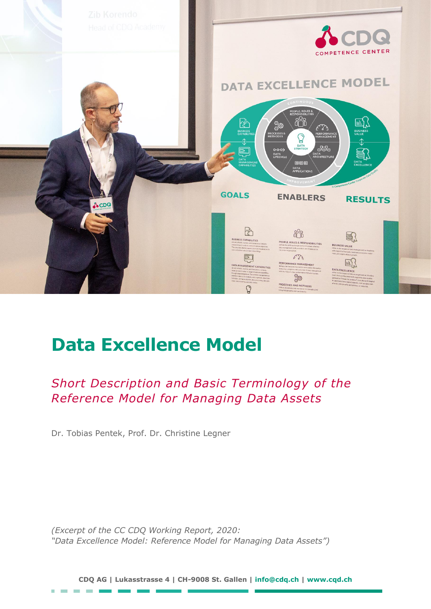

# **Data Excellence Model**

*Short Description and Basic Terminology of the Reference Model for Managing Data Assets*

Dr. Tobias Pentek, Prof. Dr. Christine Legner

×

*(Excerpt of the CC CDQ Working Report, 2020: "Data Excellence Model: Reference Model for Managing Data Assets")*

**CDQ AG | Lukasstrasse 4 | CH-9008 St. Gallen | [info@cdq.ch](mailto:info@cdq.ch) | [www.cqd.ch](http://www.cqd.ch/)**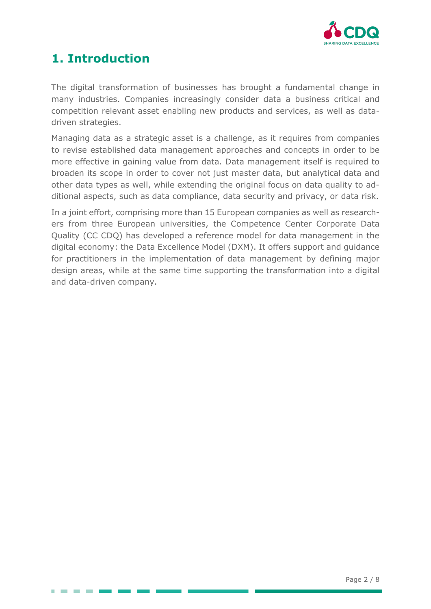

## **1. Introduction**

. . .

The digital transformation of businesses has brought a fundamental change in many industries. Companies increasingly consider data a business critical and competition relevant asset enabling new products and services, as well as datadriven strategies.

Managing data as a strategic asset is a challenge, as it requires from companies to revise established data management approaches and concepts in order to be more effective in gaining value from data. Data management itself is required to broaden its scope in order to cover not just master data, but analytical data and other data types as well, while extending the original focus on data quality to additional aspects, such as data compliance, data security and privacy, or data risk.

In a joint effort, comprising more than 15 European companies as well as researchers from three European universities, the Competence Center Corporate Data Quality (CC CDQ) has developed a reference model for data management in the digital economy: the Data Excellence Model (DXM). It offers support and guidance for practitioners in the implementation of data management by defining major design areas, while at the same time supporting the transformation into a digital and data-driven company.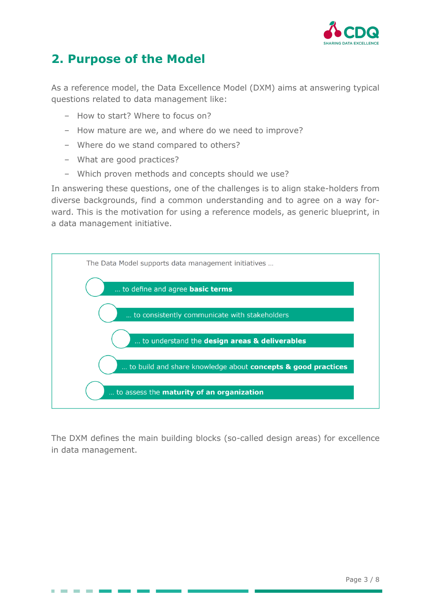

## **2. Purpose of the Model**

As a reference model, the Data Excellence Model (DXM) aims at answering typical questions related to data management like:

- ‒ How to start? Where to focus on?
- ‒ How mature are we, and where do we need to improve?
- ‒ Where do we stand compared to others?
- What are good practices?
- ‒ Which proven methods and concepts should we use?

In answering these questions, one of the challenges is to align stake-holders from diverse backgrounds, find a common understanding and to agree on a way forward. This is the motivation for using a reference models, as generic blueprint, in a data management initiative.



The DXM defines the main building blocks (so-called design areas) for excellence in data management.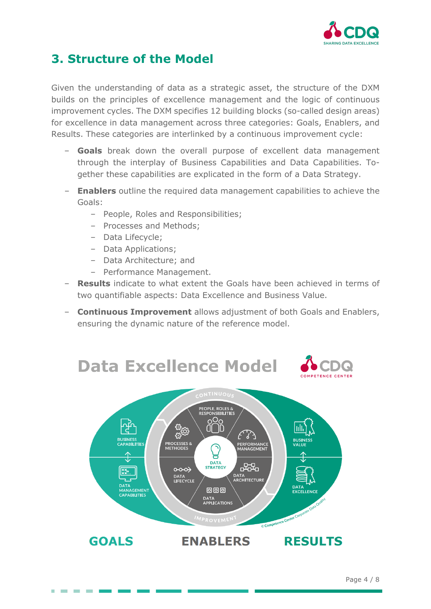

## **3. Structure of the Model**

Given the understanding of data as a strategic asset, the structure of the DXM builds on the principles of excellence management and the logic of continuous improvement cycles. The DXM specifies 12 building blocks (so-called design areas) for excellence in data management across three categories: Goals, Enablers, and Results. These categories are interlinked by a continuous improvement cycle:

- ‒ **Goals** break down the overall purpose of excellent data management through the interplay of Business Capabilities and Data Capabilities. Together these capabilities are explicated in the form of a Data Strategy.
- ‒ **Enablers** outline the required data management capabilities to achieve the Goals:
	- ‒ People, Roles and Responsibilities;
	- ‒ Processes and Methods;
	- ‒ Data Lifecycle;
	- ‒ Data Applications;
	- Data Architecture; and
	- Performance Management.
- ‒ **Results** indicate to what extent the Goals have been achieved in terms of two quantifiable aspects: Data Excellence and Business Value.
- ‒ **Continuous Improvement** allows adjustment of both Goals and Enablers, ensuring the dynamic nature of the reference model.

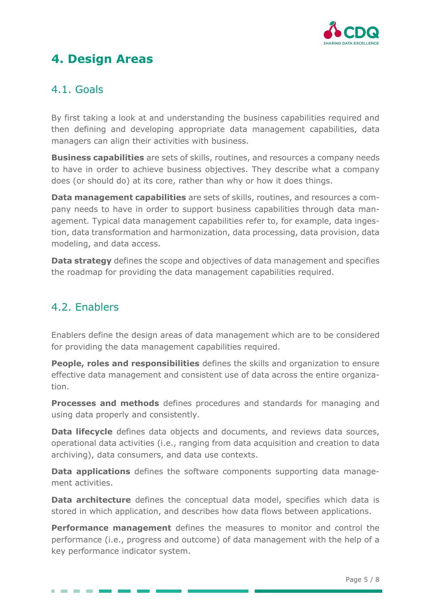

## **4. Design Areas**

#### 4.1. Goals

By first taking a look at and understanding the business capabilities required and then defining and developing appropriate data management capabilities, data managers can align their activities with business.

**Business capabilities** are sets of skills, routines, and resources a company needs to have in order to achieve business objectives. They describe what a company does (or should do) at its core, rather than why or how it does things.

**Data management capabilities** are sets of skills, routines, and resources a company needs to have in order to support business capabilities through data management. Typical data management capabilities refer to, for example, data ingestion, data transformation and harmonization, data processing, data provision, data modeling, and data access.

**Data strategy** defines the scope and objectives of data management and specifies the roadmap for providing the data management capabilities required.

#### 4.2. Enablers

Enablers define the design areas of data management which are to be considered for providing the data management capabilities required.

**People, roles and responsibilities** defines the skills and organization to ensure effective data management and consistent use of data across the entire organization.

**Processes and methods** defines procedures and standards for managing and using data properly and consistently.

**Data lifecycle** defines data objects and documents, and reviews data sources, operational data activities (i.e., ranging from data acquisition and creation to data archiving), data consumers, and data use contexts.

**Data applications** defines the software components supporting data management activities.

**Data architecture** defines the conceptual data model, specifies which data is stored in which application, and describes how data flows between applications.

**Performance management** defines the measures to monitor and control the performance (i.e., progress and outcome) of data management with the help of a key performance indicator system.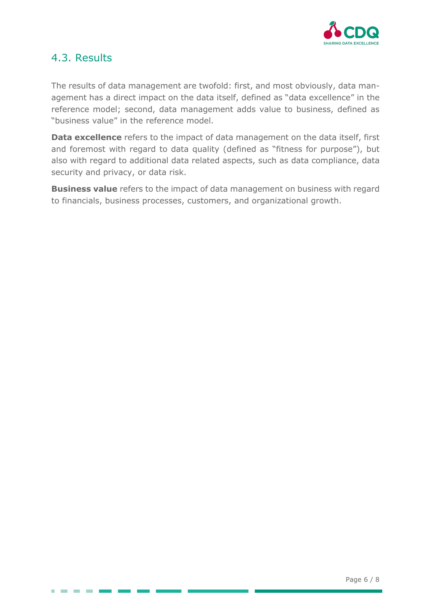

#### 4.3. Results

**CONTRACTOR** 

The results of data management are twofold: first, and most obviously, data management has a direct impact on the data itself, defined as "data excellence" in the reference model; second, data management adds value to business, defined as "business value" in the reference model.

**Data excellence** refers to the impact of data management on the data itself, first and foremost with regard to data quality (defined as "fitness for purpose"), but also with regard to additional data related aspects, such as data compliance, data security and privacy, or data risk.

**Business value** refers to the impact of data management on business with regard to financials, business processes, customers, and organizational growth.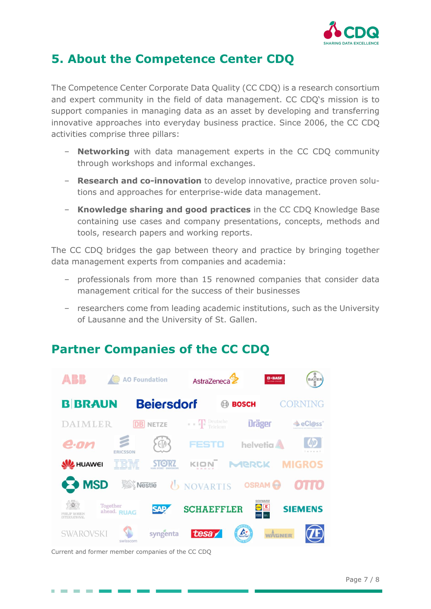

## **5. About the Competence Center CDQ**

The Competence Center Corporate Data Quality (CC CDQ) is a research consortium and expert community in the field of data management. CC CDQ's mission is to support companies in managing data as an asset by developing and transferring innovative approaches into everyday business practice. Since 2006, the CC CDQ activities comprise three pillars:

- ‒ **Networking** with data management experts in the CC CDQ community through workshops and informal exchanges.
- ‒ **Research and co-innovation** to develop innovative, practice proven solutions and approaches for enterprise-wide data management.
- ‒ **Knowledge sharing and good practices** in the CC CDQ Knowledge Base containing use cases and company presentations, concepts, methods and tools, research papers and working reports.

The CC CDQ bridges the gap between theory and practice by bringing together data management experts from companies and academia:

- professionals from more than 15 renowned companies that consider data management critical for the success of their businesses
- ‒ researchers come from leading academic institutions, such as the University of Lausanne and the University of St. Gallen.

## **Partner Companies of the CC CDQ**



Current and former member companies of the CC CDQ